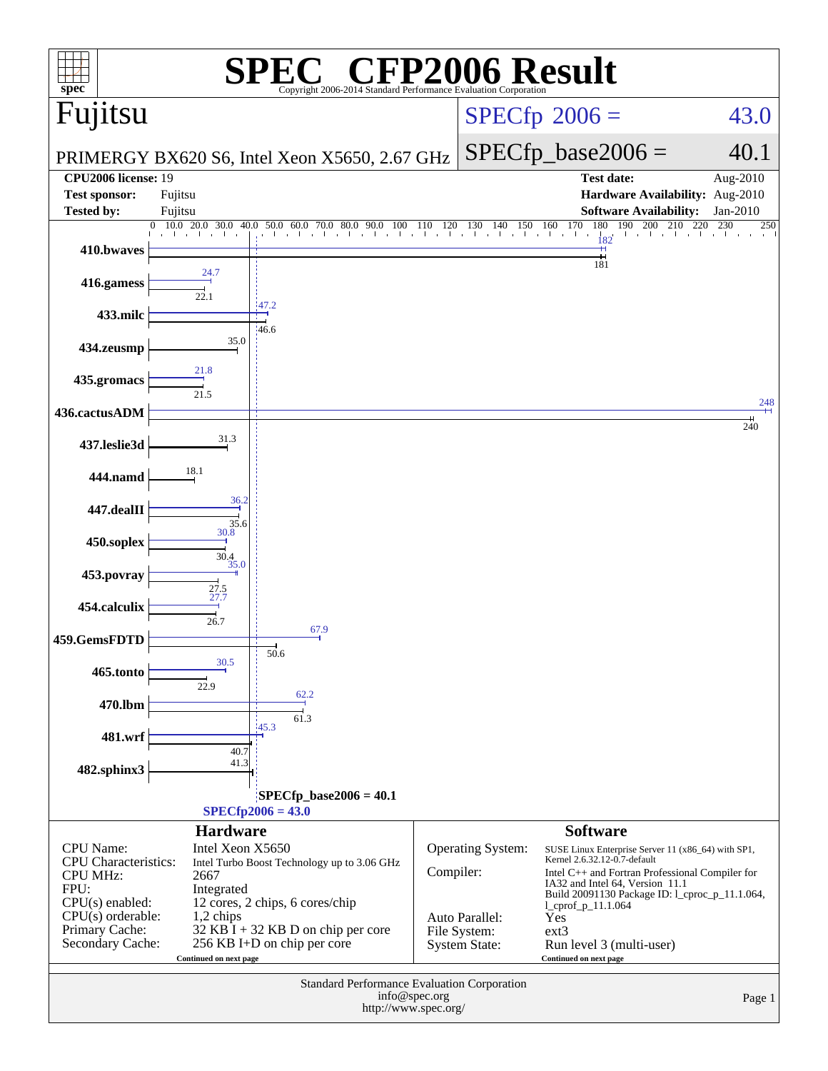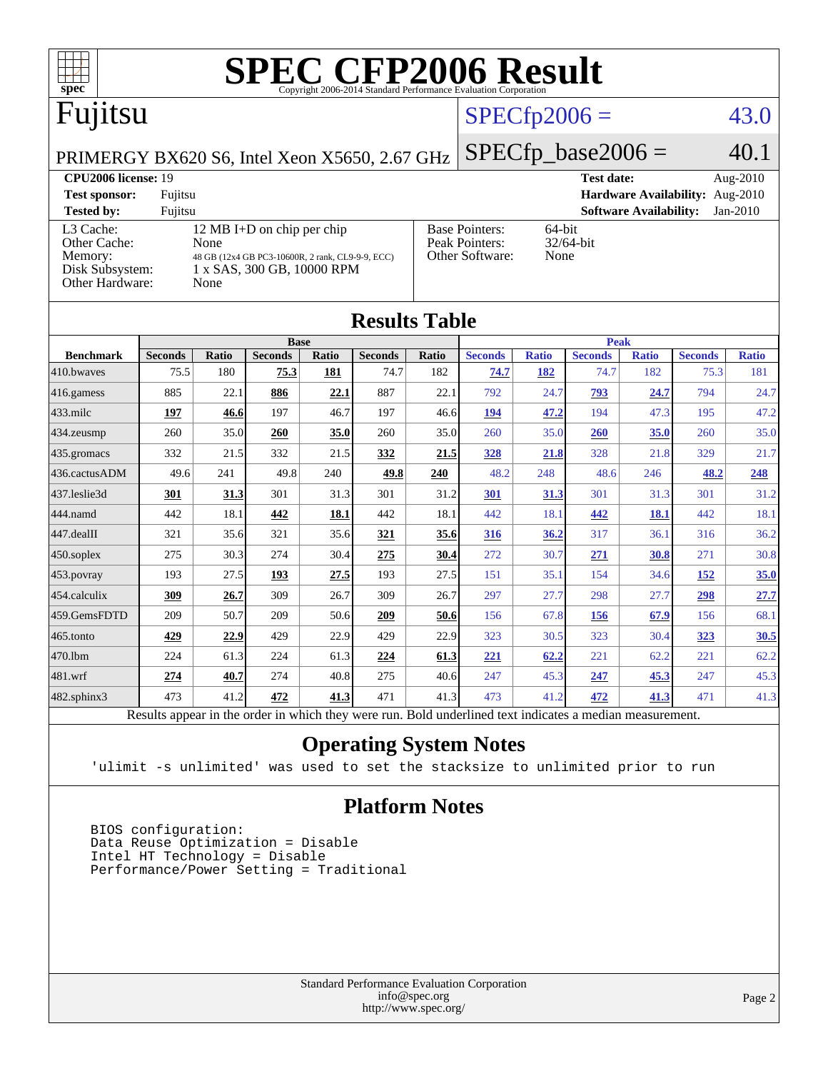

| IWUULW LUVIV      |                                                                                                          |              |                |       |                |       |                |              |                |              |                |              |
|-------------------|----------------------------------------------------------------------------------------------------------|--------------|----------------|-------|----------------|-------|----------------|--------------|----------------|--------------|----------------|--------------|
|                   |                                                                                                          |              | <b>Base</b>    |       |                |       |                | <b>Peak</b>  |                |              |                |              |
| <b>Benchmark</b>  | <b>Seconds</b>                                                                                           | <b>Ratio</b> | <b>Seconds</b> | Ratio | <b>Seconds</b> | Ratio | <b>Seconds</b> | <b>Ratio</b> | <b>Seconds</b> | <b>Ratio</b> | <b>Seconds</b> | <b>Ratio</b> |
| 410.bwayes        | 75.5                                                                                                     | 180          | 75.3           | 181   | 74.7           | 182   | 74.7           | 182          | 74.7           | 182          | 75.3           | 181          |
| 416.gamess        | 885                                                                                                      | 22.1         | 886            | 22.1  | 887            | 22.1  | 792            | 24.7         | 793            | 24.7         | 794            | 24.7         |
| $433$ .milc       | 197                                                                                                      | 46.6         | 197            | 46.7  | 197            | 46.6  | <u>194</u>     | 47.2         | 194            | 47.3         | 195            | 47.2         |
| 434.zeusmp        | 260                                                                                                      | 35.0         | 260            | 35.0  | 260            | 35.0  | 260            | 35.0         | 260            | 35.0         | 260            | 35.0         |
| 435.gromacs       | 332                                                                                                      | 21.5         | 332            | 21.5  | 332            | 21.5  | 328            | 21.8         | 328            | 21.8         | 329            | 21.7         |
| 436.cactusADM     | 49.6                                                                                                     | 241          | 49.8           | 240   | 49.8           | 240   | 48.2           | 248          | 48.6           | 246          | 48.2           | 248          |
| 437.leslie3d      | 301                                                                                                      | 31.3         | 301            | 31.3  | 301            | 31.2  | 301            | 31.3         | 301            | 31.3         | 301            | 31.2         |
| 444.namd          | 442                                                                                                      | 18.1         | 442            | 18.1  | 442            | 18.1  | 442            | 18.1         | 442            | <b>18.1</b>  | 442            | 18.1         |
| 447.dealII        | 321                                                                                                      | 35.6         | 321            | 35.6  | 321            | 35.6  | 316            | 36.2         | 317            | 36.1         | 316            | 36.2         |
| $450$ .soplex     | 275                                                                                                      | 30.3         | 274            | 30.4  | 275            | 30.4  | 272            | 30.7         | 271            | 30.8         | 271            | 30.8         |
| 453.povray        | 193                                                                                                      | 27.5         | 193            | 27.5  | 193            | 27.5  | 151            | 35.1         | 154            | 34.6         | <u>152</u>     | 35.0         |
| 454.calculix      | 309                                                                                                      | 26.7         | 309            | 26.7  | 309            | 26.7  | 297            | 27.7         | 298            | 27.7         | 298            | 27.7         |
| 459.GemsFDTD      | 209                                                                                                      | 50.7         | 209            | 50.6  | 209            | 50.6  | 156            | 67.8         | 156            | 67.9         | 156            | 68.1         |
| 465.tonto         | 429                                                                                                      | 22.9         | 429            | 22.9  | 429            | 22.9  | 323            | 30.5         | 323            | 30.4         | 323            | 30.5         |
| 470.1bm           | 224                                                                                                      | 61.3         | 224            | 61.3  | 224            | 61.3  | <u>221</u>     | 62.2         | 221            | 62.2         | 221            | 62.2         |
| 481.wrf           | <u>274</u>                                                                                               | 40.7         | 274            | 40.8  | 275            | 40.6  | 247            | 45.3         | 247            | 45.3         | 247            | 45.3         |
| $482$ .sphinx $3$ | 473                                                                                                      | 41.2         | 472            | 41.3  | 471            | 41.3  | 473            | 41.2         | 472            | 41.3         | 471            | 41.3         |
|                   | Results appear in the order in which they were run. Bold underlined text indicates a median measurement. |              |                |       |                |       |                |              |                |              |                |              |

#### **[Operating System Notes](http://www.spec.org/auto/cpu2006/Docs/result-fields.html#OperatingSystemNotes)**

'ulimit -s unlimited' was used to set the stacksize to unlimited prior to run

#### **[Platform Notes](http://www.spec.org/auto/cpu2006/Docs/result-fields.html#PlatformNotes)**

 BIOS configuration: Data Reuse Optimization = Disable Intel HT Technology = Disable Performance/Power Setting = Traditional

> Standard Performance Evaluation Corporation [info@spec.org](mailto:info@spec.org) <http://www.spec.org/>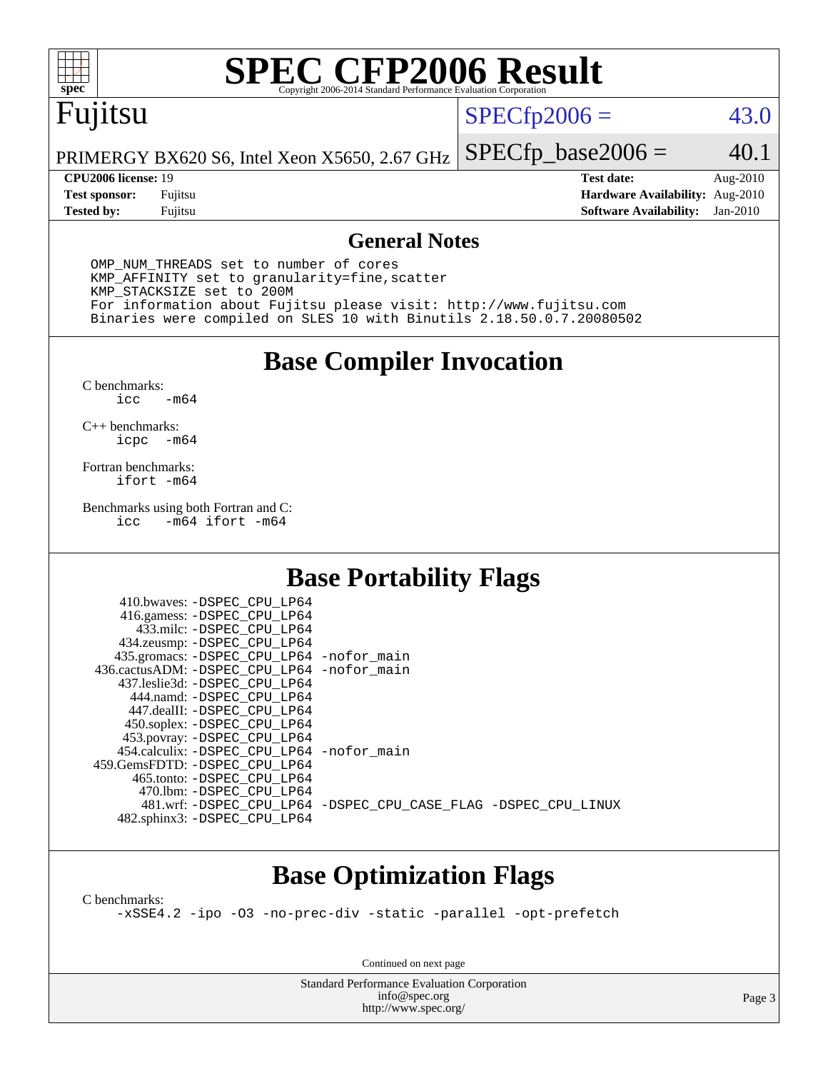

# **[SPEC CFP2006 Result](http://www.spec.org/auto/cpu2006/Docs/result-fields.html#SPECCFP2006Result)**

# Fujitsu

### $SPECfp2006 = 43.0$  $SPECfp2006 = 43.0$

PRIMERGY BX620 S6, Intel Xeon X5650, 2.67 GHz  $SPECTp\_base2006 = 40.1$ 

**[Tested by:](http://www.spec.org/auto/cpu2006/Docs/result-fields.html#Testedby)** Fujitsu **[Software Availability:](http://www.spec.org/auto/cpu2006/Docs/result-fields.html#SoftwareAvailability)** Jan-2010

**[CPU2006 license:](http://www.spec.org/auto/cpu2006/Docs/result-fields.html#CPU2006license)** 19 **[Test date:](http://www.spec.org/auto/cpu2006/Docs/result-fields.html#Testdate)** Aug-2010 **[Test sponsor:](http://www.spec.org/auto/cpu2006/Docs/result-fields.html#Testsponsor)** Fujitsu **[Hardware Availability:](http://www.spec.org/auto/cpu2006/Docs/result-fields.html#HardwareAvailability)** Aug-2010

### **[General Notes](http://www.spec.org/auto/cpu2006/Docs/result-fields.html#GeneralNotes)**

 OMP\_NUM\_THREADS set to number of cores KMP\_AFFINITY set to granularity=fine,scatter KMP\_STACKSIZE set to 200M For information about Fujitsu please visit: <http://www.fujitsu.com> Binaries were compiled on SLES 10 with Binutils 2.18.50.0.7.20080502

**[Base Compiler Invocation](http://www.spec.org/auto/cpu2006/Docs/result-fields.html#BaseCompilerInvocation)**

[C benchmarks](http://www.spec.org/auto/cpu2006/Docs/result-fields.html#Cbenchmarks):  $-m64$ 

[C++ benchmarks:](http://www.spec.org/auto/cpu2006/Docs/result-fields.html#CXXbenchmarks) [icpc -m64](http://www.spec.org/cpu2006/results/res2010q3/cpu2006-20100913-13182.flags.html#user_CXXbase_intel_icpc_64bit_bedb90c1146cab66620883ef4f41a67e)

[Fortran benchmarks](http://www.spec.org/auto/cpu2006/Docs/result-fields.html#Fortranbenchmarks): [ifort -m64](http://www.spec.org/cpu2006/results/res2010q3/cpu2006-20100913-13182.flags.html#user_FCbase_intel_ifort_64bit_ee9d0fb25645d0210d97eb0527dcc06e)

[Benchmarks using both Fortran and C](http://www.spec.org/auto/cpu2006/Docs/result-fields.html#BenchmarksusingbothFortranandC): [icc -m64](http://www.spec.org/cpu2006/results/res2010q3/cpu2006-20100913-13182.flags.html#user_CC_FCbase_intel_icc_64bit_0b7121f5ab7cfabee23d88897260401c) [ifort -m64](http://www.spec.org/cpu2006/results/res2010q3/cpu2006-20100913-13182.flags.html#user_CC_FCbase_intel_ifort_64bit_ee9d0fb25645d0210d97eb0527dcc06e)

### **[Base Portability Flags](http://www.spec.org/auto/cpu2006/Docs/result-fields.html#BasePortabilityFlags)**

| 410.bwaves: -DSPEC CPU LP64                |                                                                |
|--------------------------------------------|----------------------------------------------------------------|
| 416.gamess: -DSPEC_CPU_LP64                |                                                                |
| 433.milc: -DSPEC CPU LP64                  |                                                                |
| 434.zeusmp: -DSPEC_CPU_LP64                |                                                                |
| 435.gromacs: -DSPEC_CPU_LP64 -nofor_main   |                                                                |
| 436.cactusADM: -DSPEC CPU LP64 -nofor main |                                                                |
| 437.leslie3d: -DSPEC CPU LP64              |                                                                |
| 444.namd: -DSPEC CPU LP64                  |                                                                |
| 447.dealII: -DSPEC CPU LP64                |                                                                |
| 450.soplex: -DSPEC_CPU_LP64                |                                                                |
| 453.povray: -DSPEC_CPU_LP64                |                                                                |
| 454.calculix: -DSPEC CPU LP64 -nofor main  |                                                                |
| 459.GemsFDTD: - DSPEC_CPU LP64             |                                                                |
| 465.tonto: - DSPEC CPU LP64                |                                                                |
| 470.1bm: - DSPEC CPU LP64                  |                                                                |
|                                            | 481.wrf: -DSPEC CPU_LP64 -DSPEC_CPU_CASE_FLAG -DSPEC_CPU_LINUX |
| 482.sphinx3: -DSPEC_CPU_LP64               |                                                                |

### **[Base Optimization Flags](http://www.spec.org/auto/cpu2006/Docs/result-fields.html#BaseOptimizationFlags)**

[C benchmarks](http://www.spec.org/auto/cpu2006/Docs/result-fields.html#Cbenchmarks):

[-xSSE4.2](http://www.spec.org/cpu2006/results/res2010q3/cpu2006-20100913-13182.flags.html#user_CCbase_f-xSSE42_f91528193cf0b216347adb8b939d4107) [-ipo](http://www.spec.org/cpu2006/results/res2010q3/cpu2006-20100913-13182.flags.html#user_CCbase_f-ipo) [-O3](http://www.spec.org/cpu2006/results/res2010q3/cpu2006-20100913-13182.flags.html#user_CCbase_f-O3) [-no-prec-div](http://www.spec.org/cpu2006/results/res2010q3/cpu2006-20100913-13182.flags.html#user_CCbase_f-no-prec-div) [-static](http://www.spec.org/cpu2006/results/res2010q3/cpu2006-20100913-13182.flags.html#user_CCbase_f-static) [-parallel](http://www.spec.org/cpu2006/results/res2010q3/cpu2006-20100913-13182.flags.html#user_CCbase_f-parallel) [-opt-prefetch](http://www.spec.org/cpu2006/results/res2010q3/cpu2006-20100913-13182.flags.html#user_CCbase_f-opt-prefetch)

Continued on next page

Standard Performance Evaluation Corporation [info@spec.org](mailto:info@spec.org) <http://www.spec.org/>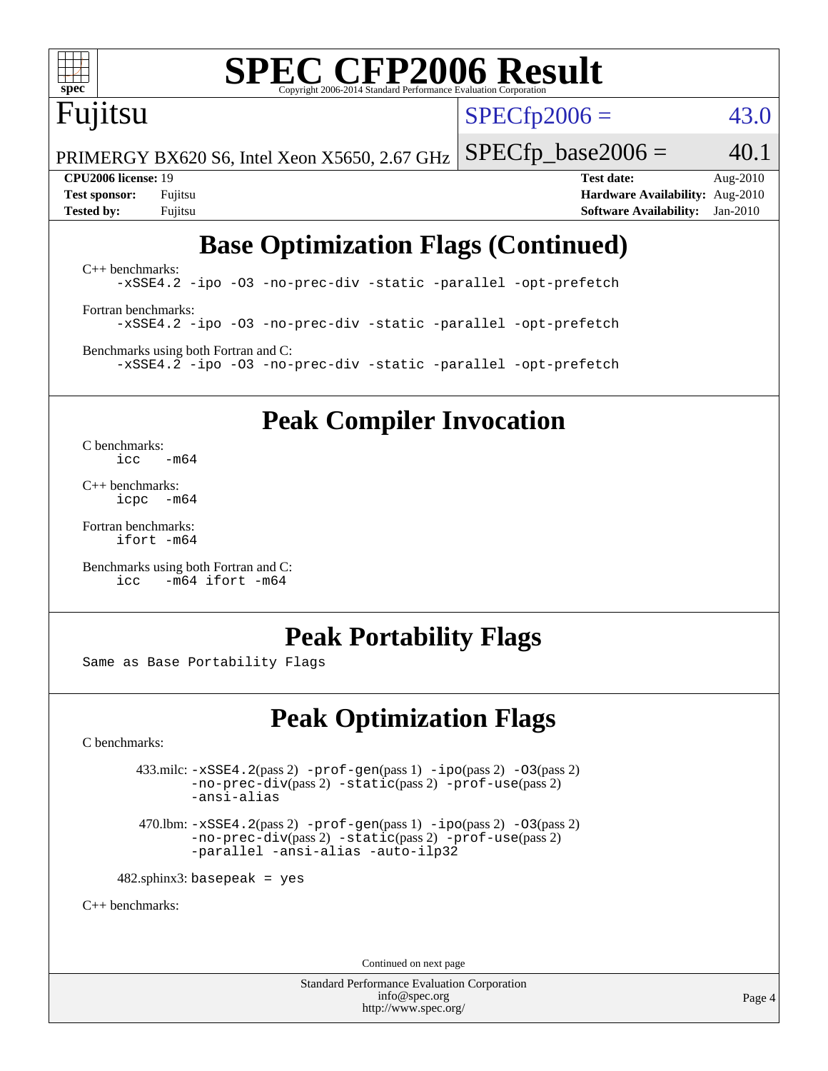

# **[SPEC CFP2006 Result](http://www.spec.org/auto/cpu2006/Docs/result-fields.html#SPECCFP2006Result)**

# Fujitsu

 $SPECTp2006 = 43.0$ 

PRIMERGY BX620 S6, Intel Xeon X5650, 2.67 GHz  $SPECfp\_base2006 = 40.1$ 

**[CPU2006 license:](http://www.spec.org/auto/cpu2006/Docs/result-fields.html#CPU2006license)** 19 **[Test date:](http://www.spec.org/auto/cpu2006/Docs/result-fields.html#Testdate)** Aug-2010 **[Test sponsor:](http://www.spec.org/auto/cpu2006/Docs/result-fields.html#Testsponsor)** Fujitsu **[Hardware Availability:](http://www.spec.org/auto/cpu2006/Docs/result-fields.html#HardwareAvailability)** Aug-2010 **[Tested by:](http://www.spec.org/auto/cpu2006/Docs/result-fields.html#Testedby)** Fujitsu **[Software Availability:](http://www.spec.org/auto/cpu2006/Docs/result-fields.html#SoftwareAvailability)** Jan-2010

# **[Base Optimization Flags \(Continued\)](http://www.spec.org/auto/cpu2006/Docs/result-fields.html#BaseOptimizationFlags)**

[C++ benchmarks:](http://www.spec.org/auto/cpu2006/Docs/result-fields.html#CXXbenchmarks) [-xSSE4.2](http://www.spec.org/cpu2006/results/res2010q3/cpu2006-20100913-13182.flags.html#user_CXXbase_f-xSSE42_f91528193cf0b216347adb8b939d4107) [-ipo](http://www.spec.org/cpu2006/results/res2010q3/cpu2006-20100913-13182.flags.html#user_CXXbase_f-ipo) [-O3](http://www.spec.org/cpu2006/results/res2010q3/cpu2006-20100913-13182.flags.html#user_CXXbase_f-O3) [-no-prec-div](http://www.spec.org/cpu2006/results/res2010q3/cpu2006-20100913-13182.flags.html#user_CXXbase_f-no-prec-div) [-static](http://www.spec.org/cpu2006/results/res2010q3/cpu2006-20100913-13182.flags.html#user_CXXbase_f-static) [-parallel](http://www.spec.org/cpu2006/results/res2010q3/cpu2006-20100913-13182.flags.html#user_CXXbase_f-parallel) [-opt-prefetch](http://www.spec.org/cpu2006/results/res2010q3/cpu2006-20100913-13182.flags.html#user_CXXbase_f-opt-prefetch) [Fortran benchmarks](http://www.spec.org/auto/cpu2006/Docs/result-fields.html#Fortranbenchmarks): [-xSSE4.2](http://www.spec.org/cpu2006/results/res2010q3/cpu2006-20100913-13182.flags.html#user_FCbase_f-xSSE42_f91528193cf0b216347adb8b939d4107) [-ipo](http://www.spec.org/cpu2006/results/res2010q3/cpu2006-20100913-13182.flags.html#user_FCbase_f-ipo) [-O3](http://www.spec.org/cpu2006/results/res2010q3/cpu2006-20100913-13182.flags.html#user_FCbase_f-O3) [-no-prec-div](http://www.spec.org/cpu2006/results/res2010q3/cpu2006-20100913-13182.flags.html#user_FCbase_f-no-prec-div) [-static](http://www.spec.org/cpu2006/results/res2010q3/cpu2006-20100913-13182.flags.html#user_FCbase_f-static) [-parallel](http://www.spec.org/cpu2006/results/res2010q3/cpu2006-20100913-13182.flags.html#user_FCbase_f-parallel) [-opt-prefetch](http://www.spec.org/cpu2006/results/res2010q3/cpu2006-20100913-13182.flags.html#user_FCbase_f-opt-prefetch) [Benchmarks using both Fortran and C](http://www.spec.org/auto/cpu2006/Docs/result-fields.html#BenchmarksusingbothFortranandC):

[-xSSE4.2](http://www.spec.org/cpu2006/results/res2010q3/cpu2006-20100913-13182.flags.html#user_CC_FCbase_f-xSSE42_f91528193cf0b216347adb8b939d4107) [-ipo](http://www.spec.org/cpu2006/results/res2010q3/cpu2006-20100913-13182.flags.html#user_CC_FCbase_f-ipo) [-O3](http://www.spec.org/cpu2006/results/res2010q3/cpu2006-20100913-13182.flags.html#user_CC_FCbase_f-O3) [-no-prec-div](http://www.spec.org/cpu2006/results/res2010q3/cpu2006-20100913-13182.flags.html#user_CC_FCbase_f-no-prec-div) [-static](http://www.spec.org/cpu2006/results/res2010q3/cpu2006-20100913-13182.flags.html#user_CC_FCbase_f-static) [-parallel](http://www.spec.org/cpu2006/results/res2010q3/cpu2006-20100913-13182.flags.html#user_CC_FCbase_f-parallel) [-opt-prefetch](http://www.spec.org/cpu2006/results/res2010q3/cpu2006-20100913-13182.flags.html#user_CC_FCbase_f-opt-prefetch)

### **[Peak Compiler Invocation](http://www.spec.org/auto/cpu2006/Docs/result-fields.html#PeakCompilerInvocation)**

[C benchmarks](http://www.spec.org/auto/cpu2006/Docs/result-fields.html#Cbenchmarks):  $\text{icc}$   $-\text{m64}$ 

[C++ benchmarks:](http://www.spec.org/auto/cpu2006/Docs/result-fields.html#CXXbenchmarks) [icpc -m64](http://www.spec.org/cpu2006/results/res2010q3/cpu2006-20100913-13182.flags.html#user_CXXpeak_intel_icpc_64bit_bedb90c1146cab66620883ef4f41a67e)

[Fortran benchmarks](http://www.spec.org/auto/cpu2006/Docs/result-fields.html#Fortranbenchmarks): [ifort -m64](http://www.spec.org/cpu2006/results/res2010q3/cpu2006-20100913-13182.flags.html#user_FCpeak_intel_ifort_64bit_ee9d0fb25645d0210d97eb0527dcc06e)

[Benchmarks using both Fortran and C](http://www.spec.org/auto/cpu2006/Docs/result-fields.html#BenchmarksusingbothFortranandC): [icc -m64](http://www.spec.org/cpu2006/results/res2010q3/cpu2006-20100913-13182.flags.html#user_CC_FCpeak_intel_icc_64bit_0b7121f5ab7cfabee23d88897260401c) [ifort -m64](http://www.spec.org/cpu2006/results/res2010q3/cpu2006-20100913-13182.flags.html#user_CC_FCpeak_intel_ifort_64bit_ee9d0fb25645d0210d97eb0527dcc06e)

### **[Peak Portability Flags](http://www.spec.org/auto/cpu2006/Docs/result-fields.html#PeakPortabilityFlags)**

Same as Base Portability Flags

### **[Peak Optimization Flags](http://www.spec.org/auto/cpu2006/Docs/result-fields.html#PeakOptimizationFlags)**

[C benchmarks](http://www.spec.org/auto/cpu2006/Docs/result-fields.html#Cbenchmarks):

 $433 \text{.}$ milc:  $-xSSE4$ .  $2(pass 2)$  - $prof-gen(pass 1)$  - $ipo(pass 2)$  [-O3](http://www.spec.org/cpu2006/results/res2010q3/cpu2006-20100913-13182.flags.html#user_peakPASS2_CFLAGSPASS2_LDFLAGS433_milc_f-O3) $(pass 2)$ [-no-prec-div](http://www.spec.org/cpu2006/results/res2010q3/cpu2006-20100913-13182.flags.html#user_peakPASS2_CFLAGSPASS2_LDFLAGS433_milc_f-no-prec-div)(pass 2) [-static](http://www.spec.org/cpu2006/results/res2010q3/cpu2006-20100913-13182.flags.html#user_peakPASS2_CFLAGSPASS2_LDFLAGS433_milc_f-static)(pass 2) [-prof-use](http://www.spec.org/cpu2006/results/res2010q3/cpu2006-20100913-13182.flags.html#user_peakPASS2_CFLAGSPASS2_LDFLAGS433_milc_prof_use_bccf7792157ff70d64e32fe3e1250b55)(pass 2) [-ansi-alias](http://www.spec.org/cpu2006/results/res2010q3/cpu2006-20100913-13182.flags.html#user_peakOPTIMIZE433_milc_f-ansi-alias)

 470.lbm: [-xSSE4.2](http://www.spec.org/cpu2006/results/res2010q3/cpu2006-20100913-13182.flags.html#user_peakPASS2_CFLAGSPASS2_LDFLAGS470_lbm_f-xSSE42_f91528193cf0b216347adb8b939d4107)(pass 2) [-prof-gen](http://www.spec.org/cpu2006/results/res2010q3/cpu2006-20100913-13182.flags.html#user_peakPASS1_CFLAGSPASS1_LDFLAGS470_lbm_prof_gen_e43856698f6ca7b7e442dfd80e94a8fc)(pass 1) [-ipo](http://www.spec.org/cpu2006/results/res2010q3/cpu2006-20100913-13182.flags.html#user_peakPASS2_CFLAGSPASS2_LDFLAGS470_lbm_f-ipo)(pass 2) [-O3](http://www.spec.org/cpu2006/results/res2010q3/cpu2006-20100913-13182.flags.html#user_peakPASS2_CFLAGSPASS2_LDFLAGS470_lbm_f-O3)(pass 2) [-no-prec-div](http://www.spec.org/cpu2006/results/res2010q3/cpu2006-20100913-13182.flags.html#user_peakPASS2_CFLAGSPASS2_LDFLAGS470_lbm_f-no-prec-div)(pass 2) [-static](http://www.spec.org/cpu2006/results/res2010q3/cpu2006-20100913-13182.flags.html#user_peakPASS2_CFLAGSPASS2_LDFLAGS470_lbm_f-static)(pass 2) [-prof-use](http://www.spec.org/cpu2006/results/res2010q3/cpu2006-20100913-13182.flags.html#user_peakPASS2_CFLAGSPASS2_LDFLAGS470_lbm_prof_use_bccf7792157ff70d64e32fe3e1250b55)(pass 2) [-parallel](http://www.spec.org/cpu2006/results/res2010q3/cpu2006-20100913-13182.flags.html#user_peakOPTIMIZE470_lbm_f-parallel) [-ansi-alias](http://www.spec.org/cpu2006/results/res2010q3/cpu2006-20100913-13182.flags.html#user_peakOPTIMIZE470_lbm_f-ansi-alias) [-auto-ilp32](http://www.spec.org/cpu2006/results/res2010q3/cpu2006-20100913-13182.flags.html#user_peakCOPTIMIZE470_lbm_f-auto-ilp32)

 $482$ .sphinx3: basepeak = yes

[C++ benchmarks:](http://www.spec.org/auto/cpu2006/Docs/result-fields.html#CXXbenchmarks)

Continued on next page

Standard Performance Evaluation Corporation [info@spec.org](mailto:info@spec.org) <http://www.spec.org/>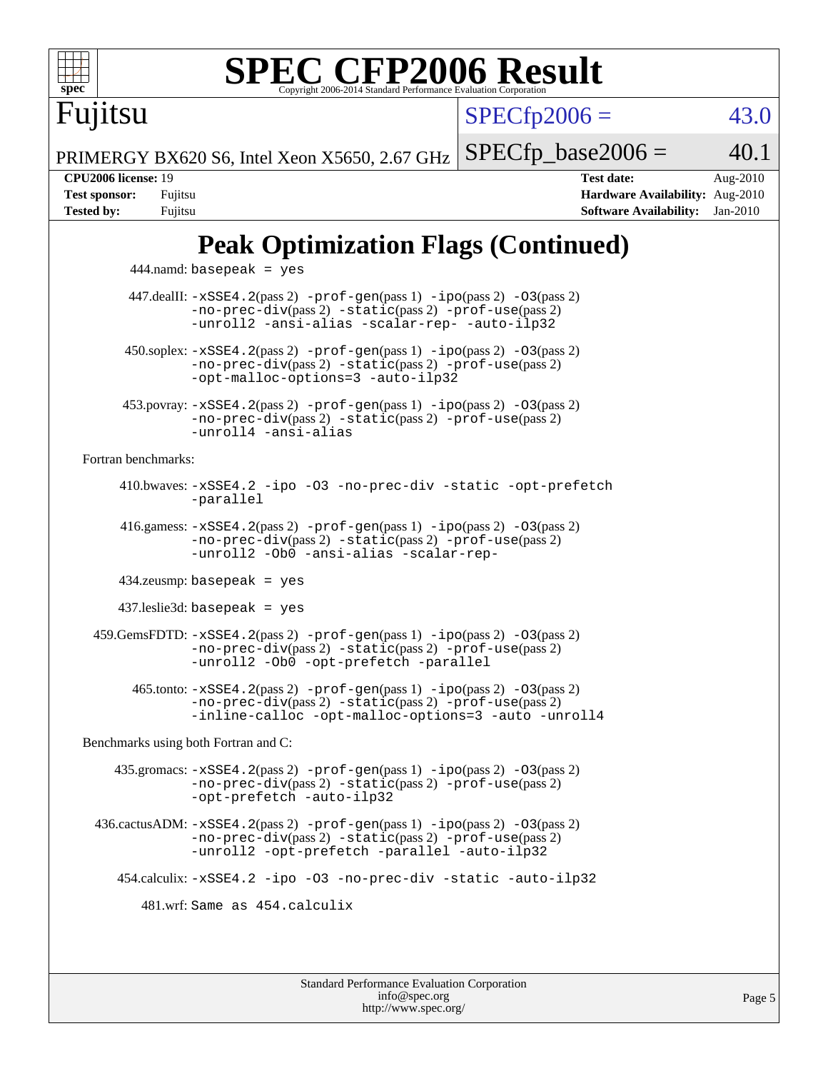

# **[SPEC CFP2006 Result](http://www.spec.org/auto/cpu2006/Docs/result-fields.html#SPECCFP2006Result)**

 $SPECTp2006 = 43.0$ 

PRIMERGY BX620 S6, Intel Xeon X5650, 2.67 GHz  $SPECTp\_base2006 = 40.1$ 

Fujitsu

**[CPU2006 license:](http://www.spec.org/auto/cpu2006/Docs/result-fields.html#CPU2006license)** 19 **[Test date:](http://www.spec.org/auto/cpu2006/Docs/result-fields.html#Testdate)** Aug-2010 **[Test sponsor:](http://www.spec.org/auto/cpu2006/Docs/result-fields.html#Testsponsor)** Fujitsu **[Hardware Availability:](http://www.spec.org/auto/cpu2006/Docs/result-fields.html#HardwareAvailability)** Aug-2010 **[Tested by:](http://www.spec.org/auto/cpu2006/Docs/result-fields.html#Testedby)** Fujitsu **[Software Availability:](http://www.spec.org/auto/cpu2006/Docs/result-fields.html#SoftwareAvailability)** Jan-2010

# **[Peak Optimization Flags \(Continued\)](http://www.spec.org/auto/cpu2006/Docs/result-fields.html#PeakOptimizationFlags)**

 444.namd: basepeak = yes 447.dealII: [-xSSE4.2](http://www.spec.org/cpu2006/results/res2010q3/cpu2006-20100913-13182.flags.html#user_peakPASS2_CXXFLAGSPASS2_LDFLAGS447_dealII_f-xSSE42_f91528193cf0b216347adb8b939d4107)(pass 2) [-prof-gen](http://www.spec.org/cpu2006/results/res2010q3/cpu2006-20100913-13182.flags.html#user_peakPASS1_CXXFLAGSPASS1_LDFLAGS447_dealII_prof_gen_e43856698f6ca7b7e442dfd80e94a8fc)(pass 1) [-ipo](http://www.spec.org/cpu2006/results/res2010q3/cpu2006-20100913-13182.flags.html#user_peakPASS2_CXXFLAGSPASS2_LDFLAGS447_dealII_f-ipo)(pass 2) [-O3](http://www.spec.org/cpu2006/results/res2010q3/cpu2006-20100913-13182.flags.html#user_peakPASS2_CXXFLAGSPASS2_LDFLAGS447_dealII_f-O3)(pass 2) [-no-prec-div](http://www.spec.org/cpu2006/results/res2010q3/cpu2006-20100913-13182.flags.html#user_peakPASS2_CXXFLAGSPASS2_LDFLAGS447_dealII_f-no-prec-div)(pass 2) [-static](http://www.spec.org/cpu2006/results/res2010q3/cpu2006-20100913-13182.flags.html#user_peakPASS2_CXXFLAGSPASS2_LDFLAGS447_dealII_f-static)(pass 2) [-prof-use](http://www.spec.org/cpu2006/results/res2010q3/cpu2006-20100913-13182.flags.html#user_peakPASS2_CXXFLAGSPASS2_LDFLAGS447_dealII_prof_use_bccf7792157ff70d64e32fe3e1250b55)(pass 2) [-unroll2](http://www.spec.org/cpu2006/results/res2010q3/cpu2006-20100913-13182.flags.html#user_peakOPTIMIZE447_dealII_f-unroll_784dae83bebfb236979b41d2422d7ec2) [-ansi-alias](http://www.spec.org/cpu2006/results/res2010q3/cpu2006-20100913-13182.flags.html#user_peakOPTIMIZE447_dealII_f-ansi-alias) [-scalar-rep-](http://www.spec.org/cpu2006/results/res2010q3/cpu2006-20100913-13182.flags.html#user_peakOPTIMIZE447_dealII_f-disablescalarrep_abbcad04450fb118e4809c81d83c8a1d) [-auto-ilp32](http://www.spec.org/cpu2006/results/res2010q3/cpu2006-20100913-13182.flags.html#user_peakCXXOPTIMIZE447_dealII_f-auto-ilp32)  $450.\text{soplex: } -x\text{SSE4}.2(\text{pass 2}) -\text{prof-gen}(\text{pass 1}) -\text{ipo}(\text{pass 2}) -\text{O3}(\text{pass 2})$ [-no-prec-div](http://www.spec.org/cpu2006/results/res2010q3/cpu2006-20100913-13182.flags.html#user_peakPASS2_CXXFLAGSPASS2_LDFLAGS450_soplex_f-no-prec-div)(pass 2) [-static](http://www.spec.org/cpu2006/results/res2010q3/cpu2006-20100913-13182.flags.html#user_peakPASS2_CXXFLAGSPASS2_LDFLAGS450_soplex_f-static)(pass 2) [-prof-use](http://www.spec.org/cpu2006/results/res2010q3/cpu2006-20100913-13182.flags.html#user_peakPASS2_CXXFLAGSPASS2_LDFLAGS450_soplex_prof_use_bccf7792157ff70d64e32fe3e1250b55)(pass 2) [-opt-malloc-options=3](http://www.spec.org/cpu2006/results/res2010q3/cpu2006-20100913-13182.flags.html#user_peakOPTIMIZE450_soplex_f-opt-malloc-options_13ab9b803cf986b4ee62f0a5998c2238) [-auto-ilp32](http://www.spec.org/cpu2006/results/res2010q3/cpu2006-20100913-13182.flags.html#user_peakCXXOPTIMIZE450_soplex_f-auto-ilp32) 453.povray: [-xSSE4.2](http://www.spec.org/cpu2006/results/res2010q3/cpu2006-20100913-13182.flags.html#user_peakPASS2_CXXFLAGSPASS2_LDFLAGS453_povray_f-xSSE42_f91528193cf0b216347adb8b939d4107)(pass 2) [-prof-gen](http://www.spec.org/cpu2006/results/res2010q3/cpu2006-20100913-13182.flags.html#user_peakPASS1_CXXFLAGSPASS1_LDFLAGS453_povray_prof_gen_e43856698f6ca7b7e442dfd80e94a8fc)(pass 1) [-ipo](http://www.spec.org/cpu2006/results/res2010q3/cpu2006-20100913-13182.flags.html#user_peakPASS2_CXXFLAGSPASS2_LDFLAGS453_povray_f-ipo)(pass 2) [-O3](http://www.spec.org/cpu2006/results/res2010q3/cpu2006-20100913-13182.flags.html#user_peakPASS2_CXXFLAGSPASS2_LDFLAGS453_povray_f-O3)(pass 2) [-no-prec-div](http://www.spec.org/cpu2006/results/res2010q3/cpu2006-20100913-13182.flags.html#user_peakPASS2_CXXFLAGSPASS2_LDFLAGS453_povray_f-no-prec-div)(pass 2) [-static](http://www.spec.org/cpu2006/results/res2010q3/cpu2006-20100913-13182.flags.html#user_peakPASS2_CXXFLAGSPASS2_LDFLAGS453_povray_f-static)(pass 2) [-prof-use](http://www.spec.org/cpu2006/results/res2010q3/cpu2006-20100913-13182.flags.html#user_peakPASS2_CXXFLAGSPASS2_LDFLAGS453_povray_prof_use_bccf7792157ff70d64e32fe3e1250b55)(pass 2) [-unroll4](http://www.spec.org/cpu2006/results/res2010q3/cpu2006-20100913-13182.flags.html#user_peakCXXOPTIMIZE453_povray_f-unroll_4e5e4ed65b7fd20bdcd365bec371b81f) [-ansi-alias](http://www.spec.org/cpu2006/results/res2010q3/cpu2006-20100913-13182.flags.html#user_peakCXXOPTIMIZE453_povray_f-ansi-alias) [Fortran benchmarks](http://www.spec.org/auto/cpu2006/Docs/result-fields.html#Fortranbenchmarks): 410.bwaves: [-xSSE4.2](http://www.spec.org/cpu2006/results/res2010q3/cpu2006-20100913-13182.flags.html#user_peakOPTIMIZE410_bwaves_f-xSSE42_f91528193cf0b216347adb8b939d4107) [-ipo](http://www.spec.org/cpu2006/results/res2010q3/cpu2006-20100913-13182.flags.html#user_peakOPTIMIZE410_bwaves_f-ipo) [-O3](http://www.spec.org/cpu2006/results/res2010q3/cpu2006-20100913-13182.flags.html#user_peakOPTIMIZE410_bwaves_f-O3) [-no-prec-div](http://www.spec.org/cpu2006/results/res2010q3/cpu2006-20100913-13182.flags.html#user_peakOPTIMIZE410_bwaves_f-no-prec-div) [-static](http://www.spec.org/cpu2006/results/res2010q3/cpu2006-20100913-13182.flags.html#user_peakOPTIMIZE410_bwaves_f-static) [-opt-prefetch](http://www.spec.org/cpu2006/results/res2010q3/cpu2006-20100913-13182.flags.html#user_peakOPTIMIZE410_bwaves_f-opt-prefetch) [-parallel](http://www.spec.org/cpu2006/results/res2010q3/cpu2006-20100913-13182.flags.html#user_peakOPTIMIZE410_bwaves_f-parallel) 416.gamess: [-xSSE4.2](http://www.spec.org/cpu2006/results/res2010q3/cpu2006-20100913-13182.flags.html#user_peakPASS2_FFLAGSPASS2_LDFLAGS416_gamess_f-xSSE42_f91528193cf0b216347adb8b939d4107)(pass 2) [-prof-gen](http://www.spec.org/cpu2006/results/res2010q3/cpu2006-20100913-13182.flags.html#user_peakPASS1_FFLAGSPASS1_LDFLAGS416_gamess_prof_gen_e43856698f6ca7b7e442dfd80e94a8fc)(pass 1) [-ipo](http://www.spec.org/cpu2006/results/res2010q3/cpu2006-20100913-13182.flags.html#user_peakPASS2_FFLAGSPASS2_LDFLAGS416_gamess_f-ipo)(pass 2) [-O3](http://www.spec.org/cpu2006/results/res2010q3/cpu2006-20100913-13182.flags.html#user_peakPASS2_FFLAGSPASS2_LDFLAGS416_gamess_f-O3)(pass 2) [-no-prec-div](http://www.spec.org/cpu2006/results/res2010q3/cpu2006-20100913-13182.flags.html#user_peakPASS2_FFLAGSPASS2_LDFLAGS416_gamess_f-no-prec-div)(pass 2) [-static](http://www.spec.org/cpu2006/results/res2010q3/cpu2006-20100913-13182.flags.html#user_peakPASS2_FFLAGSPASS2_LDFLAGS416_gamess_f-static)(pass 2) [-prof-use](http://www.spec.org/cpu2006/results/res2010q3/cpu2006-20100913-13182.flags.html#user_peakPASS2_FFLAGSPASS2_LDFLAGS416_gamess_prof_use_bccf7792157ff70d64e32fe3e1250b55)(pass 2) [-unroll2](http://www.spec.org/cpu2006/results/res2010q3/cpu2006-20100913-13182.flags.html#user_peakOPTIMIZE416_gamess_f-unroll_784dae83bebfb236979b41d2422d7ec2) [-Ob0](http://www.spec.org/cpu2006/results/res2010q3/cpu2006-20100913-13182.flags.html#user_peakOPTIMIZE416_gamess_f-Ob_n_fbe6f6428adb7d4b74b1e99bb2444c2d) [-ansi-alias](http://www.spec.org/cpu2006/results/res2010q3/cpu2006-20100913-13182.flags.html#user_peakOPTIMIZE416_gamess_f-ansi-alias) [-scalar-rep-](http://www.spec.org/cpu2006/results/res2010q3/cpu2006-20100913-13182.flags.html#user_peakOPTIMIZE416_gamess_f-disablescalarrep_abbcad04450fb118e4809c81d83c8a1d) 434.zeusmp: basepeak = yes 437.leslie3d: basepeak = yes  $459$ .GemsFDTD:  $-xSSE4$ .  $2(pass 2)$  -prof-qen(pass 1) [-ipo](http://www.spec.org/cpu2006/results/res2010q3/cpu2006-20100913-13182.flags.html#user_peakPASS2_FFLAGSPASS2_LDFLAGS459_GemsFDTD_f-ipo)(pass 2) -03(pass 2) [-no-prec-div](http://www.spec.org/cpu2006/results/res2010q3/cpu2006-20100913-13182.flags.html#user_peakPASS2_FFLAGSPASS2_LDFLAGS459_GemsFDTD_f-no-prec-div)(pass 2) [-static](http://www.spec.org/cpu2006/results/res2010q3/cpu2006-20100913-13182.flags.html#user_peakPASS2_FFLAGSPASS2_LDFLAGS459_GemsFDTD_f-static)(pass 2) [-prof-use](http://www.spec.org/cpu2006/results/res2010q3/cpu2006-20100913-13182.flags.html#user_peakPASS2_FFLAGSPASS2_LDFLAGS459_GemsFDTD_prof_use_bccf7792157ff70d64e32fe3e1250b55)(pass 2) [-unroll2](http://www.spec.org/cpu2006/results/res2010q3/cpu2006-20100913-13182.flags.html#user_peakOPTIMIZE459_GemsFDTD_f-unroll_784dae83bebfb236979b41d2422d7ec2) [-Ob0](http://www.spec.org/cpu2006/results/res2010q3/cpu2006-20100913-13182.flags.html#user_peakOPTIMIZE459_GemsFDTD_f-Ob_n_fbe6f6428adb7d4b74b1e99bb2444c2d) [-opt-prefetch](http://www.spec.org/cpu2006/results/res2010q3/cpu2006-20100913-13182.flags.html#user_peakOPTIMIZE459_GemsFDTD_f-opt-prefetch) [-parallel](http://www.spec.org/cpu2006/results/res2010q3/cpu2006-20100913-13182.flags.html#user_peakOPTIMIZE459_GemsFDTD_f-parallel) 465.tonto: [-xSSE4.2](http://www.spec.org/cpu2006/results/res2010q3/cpu2006-20100913-13182.flags.html#user_peakPASS2_FFLAGSPASS2_LDFLAGS465_tonto_f-xSSE42_f91528193cf0b216347adb8b939d4107)(pass 2) [-prof-gen](http://www.spec.org/cpu2006/results/res2010q3/cpu2006-20100913-13182.flags.html#user_peakPASS1_FFLAGSPASS1_LDFLAGS465_tonto_prof_gen_e43856698f6ca7b7e442dfd80e94a8fc)(pass 1) [-ipo](http://www.spec.org/cpu2006/results/res2010q3/cpu2006-20100913-13182.flags.html#user_peakPASS2_FFLAGSPASS2_LDFLAGS465_tonto_f-ipo)(pass 2) [-O3](http://www.spec.org/cpu2006/results/res2010q3/cpu2006-20100913-13182.flags.html#user_peakPASS2_FFLAGSPASS2_LDFLAGS465_tonto_f-O3)(pass 2) [-no-prec-div](http://www.spec.org/cpu2006/results/res2010q3/cpu2006-20100913-13182.flags.html#user_peakPASS2_FFLAGSPASS2_LDFLAGS465_tonto_f-no-prec-div)(pass 2) [-static](http://www.spec.org/cpu2006/results/res2010q3/cpu2006-20100913-13182.flags.html#user_peakPASS2_FFLAGSPASS2_LDFLAGS465_tonto_f-static)(pass 2) [-prof-use](http://www.spec.org/cpu2006/results/res2010q3/cpu2006-20100913-13182.flags.html#user_peakPASS2_FFLAGSPASS2_LDFLAGS465_tonto_prof_use_bccf7792157ff70d64e32fe3e1250b55)(pass 2) [-inline-calloc](http://www.spec.org/cpu2006/results/res2010q3/cpu2006-20100913-13182.flags.html#user_peakOPTIMIZE465_tonto_f-inline-calloc) [-opt-malloc-options=3](http://www.spec.org/cpu2006/results/res2010q3/cpu2006-20100913-13182.flags.html#user_peakOPTIMIZE465_tonto_f-opt-malloc-options_13ab9b803cf986b4ee62f0a5998c2238) [-auto](http://www.spec.org/cpu2006/results/res2010q3/cpu2006-20100913-13182.flags.html#user_peakOPTIMIZE465_tonto_f-auto) [-unroll4](http://www.spec.org/cpu2006/results/res2010q3/cpu2006-20100913-13182.flags.html#user_peakOPTIMIZE465_tonto_f-unroll_4e5e4ed65b7fd20bdcd365bec371b81f) [Benchmarks using both Fortran and C](http://www.spec.org/auto/cpu2006/Docs/result-fields.html#BenchmarksusingbothFortranandC): 435.gromacs: [-xSSE4.2](http://www.spec.org/cpu2006/results/res2010q3/cpu2006-20100913-13182.flags.html#user_peakPASS2_CFLAGSPASS2_FFLAGSPASS2_LDFLAGS435_gromacs_f-xSSE42_f91528193cf0b216347adb8b939d4107)(pass 2) [-prof-gen](http://www.spec.org/cpu2006/results/res2010q3/cpu2006-20100913-13182.flags.html#user_peakPASS1_CFLAGSPASS1_FFLAGSPASS1_LDFLAGS435_gromacs_prof_gen_e43856698f6ca7b7e442dfd80e94a8fc)(pass 1) [-ipo](http://www.spec.org/cpu2006/results/res2010q3/cpu2006-20100913-13182.flags.html#user_peakPASS2_CFLAGSPASS2_FFLAGSPASS2_LDFLAGS435_gromacs_f-ipo)(pass 2) [-O3](http://www.spec.org/cpu2006/results/res2010q3/cpu2006-20100913-13182.flags.html#user_peakPASS2_CFLAGSPASS2_FFLAGSPASS2_LDFLAGS435_gromacs_f-O3)(pass 2) [-no-prec-div](http://www.spec.org/cpu2006/results/res2010q3/cpu2006-20100913-13182.flags.html#user_peakPASS2_CFLAGSPASS2_FFLAGSPASS2_LDFLAGS435_gromacs_f-no-prec-div)(pass 2) [-static](http://www.spec.org/cpu2006/results/res2010q3/cpu2006-20100913-13182.flags.html#user_peakPASS2_CFLAGSPASS2_FFLAGSPASS2_LDFLAGS435_gromacs_f-static)(pass 2) [-prof-use](http://www.spec.org/cpu2006/results/res2010q3/cpu2006-20100913-13182.flags.html#user_peakPASS2_CFLAGSPASS2_FFLAGSPASS2_LDFLAGS435_gromacs_prof_use_bccf7792157ff70d64e32fe3e1250b55)(pass 2) [-opt-prefetch](http://www.spec.org/cpu2006/results/res2010q3/cpu2006-20100913-13182.flags.html#user_peakOPTIMIZE435_gromacs_f-opt-prefetch) [-auto-ilp32](http://www.spec.org/cpu2006/results/res2010q3/cpu2006-20100913-13182.flags.html#user_peakCOPTIMIZE435_gromacs_f-auto-ilp32) 436.cactusADM: [-xSSE4.2](http://www.spec.org/cpu2006/results/res2010q3/cpu2006-20100913-13182.flags.html#user_peakPASS2_CFLAGSPASS2_FFLAGSPASS2_LDFLAGS436_cactusADM_f-xSSE42_f91528193cf0b216347adb8b939d4107)(pass 2) [-prof-gen](http://www.spec.org/cpu2006/results/res2010q3/cpu2006-20100913-13182.flags.html#user_peakPASS1_CFLAGSPASS1_FFLAGSPASS1_LDFLAGS436_cactusADM_prof_gen_e43856698f6ca7b7e442dfd80e94a8fc)(pass 1) [-ipo](http://www.spec.org/cpu2006/results/res2010q3/cpu2006-20100913-13182.flags.html#user_peakPASS2_CFLAGSPASS2_FFLAGSPASS2_LDFLAGS436_cactusADM_f-ipo)(pass 2) [-O3](http://www.spec.org/cpu2006/results/res2010q3/cpu2006-20100913-13182.flags.html#user_peakPASS2_CFLAGSPASS2_FFLAGSPASS2_LDFLAGS436_cactusADM_f-O3)(pass 2) [-no-prec-div](http://www.spec.org/cpu2006/results/res2010q3/cpu2006-20100913-13182.flags.html#user_peakPASS2_CFLAGSPASS2_FFLAGSPASS2_LDFLAGS436_cactusADM_f-no-prec-div)(pass 2) [-static](http://www.spec.org/cpu2006/results/res2010q3/cpu2006-20100913-13182.flags.html#user_peakPASS2_CFLAGSPASS2_FFLAGSPASS2_LDFLAGS436_cactusADM_f-static)(pass 2) [-prof-use](http://www.spec.org/cpu2006/results/res2010q3/cpu2006-20100913-13182.flags.html#user_peakPASS2_CFLAGSPASS2_FFLAGSPASS2_LDFLAGS436_cactusADM_prof_use_bccf7792157ff70d64e32fe3e1250b55)(pass 2) [-unroll2](http://www.spec.org/cpu2006/results/res2010q3/cpu2006-20100913-13182.flags.html#user_peakOPTIMIZE436_cactusADM_f-unroll_784dae83bebfb236979b41d2422d7ec2) [-opt-prefetch](http://www.spec.org/cpu2006/results/res2010q3/cpu2006-20100913-13182.flags.html#user_peakOPTIMIZE436_cactusADM_f-opt-prefetch) [-parallel](http://www.spec.org/cpu2006/results/res2010q3/cpu2006-20100913-13182.flags.html#user_peakOPTIMIZE436_cactusADM_f-parallel) [-auto-ilp32](http://www.spec.org/cpu2006/results/res2010q3/cpu2006-20100913-13182.flags.html#user_peakCOPTIMIZE436_cactusADM_f-auto-ilp32) 454.calculix: [-xSSE4.2](http://www.spec.org/cpu2006/results/res2010q3/cpu2006-20100913-13182.flags.html#user_peakOPTIMIZE454_calculix_f-xSSE42_f91528193cf0b216347adb8b939d4107) [-ipo](http://www.spec.org/cpu2006/results/res2010q3/cpu2006-20100913-13182.flags.html#user_peakOPTIMIZE454_calculix_f-ipo) [-O3](http://www.spec.org/cpu2006/results/res2010q3/cpu2006-20100913-13182.flags.html#user_peakOPTIMIZE454_calculix_f-O3) [-no-prec-div](http://www.spec.org/cpu2006/results/res2010q3/cpu2006-20100913-13182.flags.html#user_peakOPTIMIZE454_calculix_f-no-prec-div) [-static](http://www.spec.org/cpu2006/results/res2010q3/cpu2006-20100913-13182.flags.html#user_peakOPTIMIZE454_calculix_f-static) [-auto-ilp32](http://www.spec.org/cpu2006/results/res2010q3/cpu2006-20100913-13182.flags.html#user_peakCOPTIMIZE454_calculix_f-auto-ilp32) 481.wrf: Same as 454.calculix